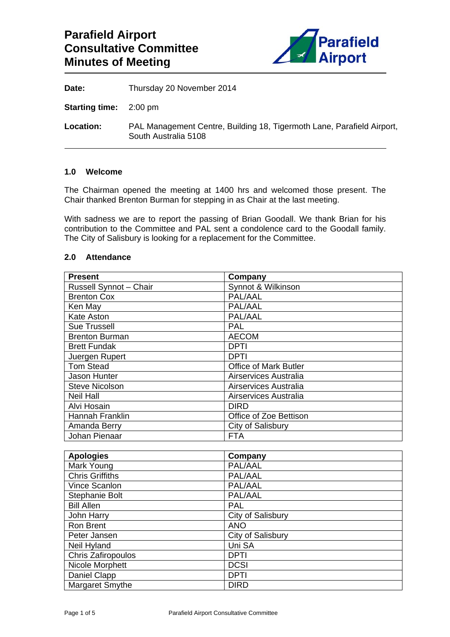

**Date:** Thursday 20 November 2014

**Starting time:** 2:00 pm

**Location:** PAL Management Centre, Building 18, Tigermoth Lane, Parafield Airport, South Australia 5108

#### **1.0 Welcome**

The Chairman opened the meeting at 1400 hrs and welcomed those present. The Chair thanked Brenton Burman for stepping in as Chair at the last meeting.

With sadness we are to report the passing of Brian Goodall. We thank Brian for his contribution to the Committee and PAL sent a condolence card to the Goodall family. The City of Salisbury is looking for a replacement for the Committee.

### **2.0 Attendance**

| <b>Present</b>         | Company                      |
|------------------------|------------------------------|
| Russell Synnot - Chair | Synnot & Wilkinson           |
| <b>Brenton Cox</b>     | PAL/AAL                      |
| Ken May                | PAL/AAL                      |
| Kate Aston             | PAL/AAL                      |
| <b>Sue Trussell</b>    | PAL                          |
| <b>Brenton Burman</b>  | <b>AECOM</b>                 |
| <b>Brett Fundak</b>    | DPTI                         |
| Juergen Rupert         | DPTI                         |
| <b>Tom Stead</b>       | <b>Office of Mark Butler</b> |
| Jason Hunter           | Airservices Australia        |
| <b>Steve Nicolson</b>  | Airservices Australia        |
| <b>Neil Hall</b>       | Airservices Australia        |
| Alvi Hosain            | DIRD                         |
| Hannah Franklin        | Office of Zoe Bettison       |
| Amanda Berry           | City of Salisbury            |
| Johan Pienaar          | FTA                          |
|                        |                              |

| <b>Apologies</b>       | Company           |
|------------------------|-------------------|
| Mark Young             | PAL/AAL           |
| <b>Chris Griffiths</b> | PAL/AAL           |
| Vince Scanlon          | PAL/AAL           |
| Stephanie Bolt         | PAL/AAL           |
| <b>Bill Allen</b>      | <b>PAL</b>        |
| John Harry             | City of Salisbury |
| Ron Brent              | <b>ANO</b>        |
| Peter Jansen           | City of Salisbury |
| Neil Hyland            | Uni SA            |
| Chris Zafiropoulos     | <b>DPTI</b>       |
| Nicole Morphett        | <b>DCSI</b>       |
| Daniel Clapp           | <b>DPTI</b>       |
| Margaret Smythe        | <b>DIRD</b>       |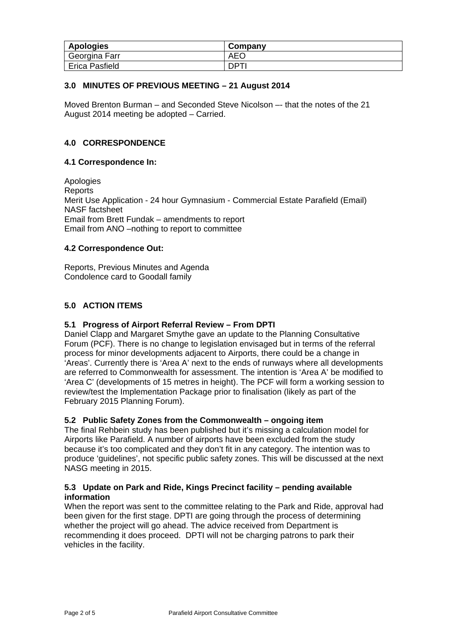| <b>Apologies</b> | Company    |
|------------------|------------|
| Georgina Farr    | AEC        |
| Erica Pasfield   | <b>DPT</b> |

# **3.0 MINUTES OF PREVIOUS MEETING – 21 August 2014**

Moved Brenton Burman – and Seconded Steve Nicolson –- that the notes of the 21 August 2014 meeting be adopted – Carried.

# **4.0 CORRESPONDENCE**

### **4.1 Correspondence In:**

**Apologies Reports** Merit Use Application - 24 hour Gymnasium - Commercial Estate Parafield (Email) NASF factsheet Email from Brett Fundak – amendments to report Email from ANO –nothing to report to committee

### **4.2 Correspondence Out:**

Reports, Previous Minutes and Agenda Condolence card to Goodall family

# **5.0 ACTION ITEMS**

### **5.1 Progress of Airport Referral Review – From DPTI**

Daniel Clapp and Margaret Smythe gave an update to the Planning Consultative Forum (PCF). There is no change to legislation envisaged but in terms of the referral process for minor developments adjacent to Airports, there could be a change in 'Areas'. Currently there is 'Area A' next to the ends of runways where all developments are referred to Commonwealth for assessment. The intention is 'Area A' be modified to 'Area C' (developments of 15 metres in height). The PCF will form a working session to review/test the Implementation Package prior to finalisation (likely as part of the February 2015 Planning Forum).

### **5.2 Public Safety Zones from the Commonwealth – ongoing item**

The final Rehbein study has been published but it's missing a calculation model for Airports like Parafield. A number of airports have been excluded from the study because it's too complicated and they don't fit in any category. The intention was to produce 'guidelines', not specific public safety zones. This will be discussed at the next NASG meeting in 2015.

### **5.3 Update on Park and Ride, Kings Precinct facility – pending available information**

When the report was sent to the committee relating to the Park and Ride, approval had been given for the first stage. DPTI are going through the process of determining whether the project will go ahead. The advice received from Department is recommending it does proceed. DPTI will not be charging patrons to park their vehicles in the facility.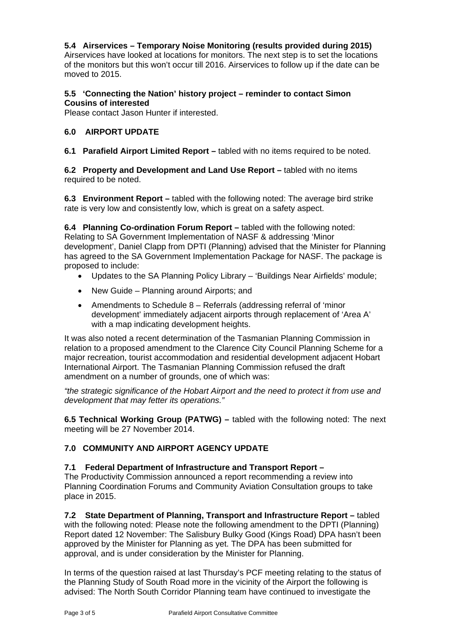# **5.4 Airservices – Temporary Noise Monitoring (results provided during 2015)**

Airservices have looked at locations for monitors. The next step is to set the locations of the monitors but this won't occur till 2016. Airservices to follow up if the date can be moved to 2015.

### **5.5 'Connecting the Nation' history project – reminder to contact Simon Cousins of interested**

Please contact Jason Hunter if interested.

# **6.0 AIRPORT UPDATE**

**6.1 Parafield Airport Limited Report –** tabled with no items required to be noted.

**6.2 Property and Development and Land Use Report –** tabled with no items required to be noted.

**6.3 Environment Report –** tabled with the following noted: The average bird strike rate is very low and consistently low, which is great on a safety aspect.

**6.4 Planning Co-ordination Forum Report –** tabled with the following noted: Relating to SA Government Implementation of NASF & addressing 'Minor development', Daniel Clapp from DPTI (Planning) advised that the Minister for Planning has agreed to the SA Government Implementation Package for NASF. The package is proposed to include:

- Updates to the SA Planning Policy Library 'Buildings Near Airfields' module;
- New Guide Planning around Airports; and
- Amendments to Schedule 8 Referrals (addressing referral of 'minor development' immediately adjacent airports through replacement of 'Area A' with a map indicating development heights.

It was also noted a recent determination of the Tasmanian Planning Commission in relation to a proposed amendment to the Clarence City Council Planning Scheme for a major recreation, tourist accommodation and residential development adjacent Hobart International Airport. The Tasmanian Planning Commission refused the draft amendment on a number of grounds, one of which was:

*"the strategic significance of the Hobart Airport and the need to protect it from use and development that may fetter its operations."* 

**6.5 Technical Working Group (PATWG) –** tabled with the following noted: The next meeting will be 27 November 2014.

### **7.0 COMMUNITY AND AIRPORT AGENCY UPDATE**

### **7.1 Federal Department of Infrastructure and Transport Report –**

The Productivity Commission announced a report recommending a review into Planning Coordination Forums and Community Aviation Consultation groups to take place in 2015.

**7.2 State Department of Planning, Transport and Infrastructure Report –** tabled with the following noted: Please note the following amendment to the DPTI (Planning) Report dated 12 November: The Salisbury Bulky Good (Kings Road) DPA hasn't been approved by the Minister for Planning as yet. The DPA has been submitted for approval, and is under consideration by the Minister for Planning.

In terms of the question raised at last Thursday's PCF meeting relating to the status of the Planning Study of South Road more in the vicinity of the Airport the following is advised: The North South Corridor Planning team have continued to investigate the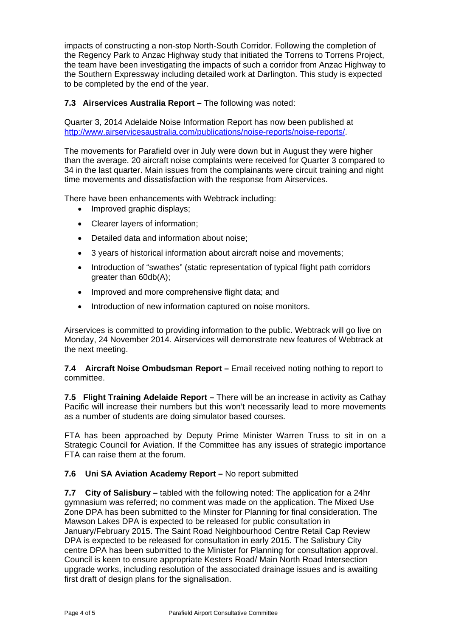impacts of constructing a non-stop North-South Corridor. Following the completion of the Regency Park to Anzac Highway study that initiated the Torrens to Torrens Project, the team have been investigating the impacts of such a corridor from Anzac Highway to the Southern Expressway including detailed work at Darlington. This study is expected to be completed by the end of the year.

# **7.3 Airservices Australia Report –** The following was noted:

Quarter 3, 2014 Adelaide Noise Information Report has now been published at http://www.airservicesaustralia.com/publications/noise-reports/noise-reports/.

The movements for Parafield over in July were down but in August they were higher than the average. 20 aircraft noise complaints were received for Quarter 3 compared to 34 in the last quarter. Main issues from the complainants were circuit training and night time movements and dissatisfaction with the response from Airservices.

There have been enhancements with Webtrack including:

- Improved graphic displays:
- Clearer layers of information;
- Detailed data and information about noise;
- 3 years of historical information about aircraft noise and movements;
- Introduction of "swathes" (static representation of typical flight path corridors greater than 60db(A);
- Improved and more comprehensive flight data; and
- Introduction of new information captured on noise monitors.

Airservices is committed to providing information to the public. Webtrack will go live on Monday, 24 November 2014. Airservices will demonstrate new features of Webtrack at the next meeting.

**7.4 Aircraft Noise Ombudsman Report –** Email received noting nothing to report to committee.

**7.5 Flight Training Adelaide Report –** There will be an increase in activity as Cathay Pacific will increase their numbers but this won't necessarily lead to more movements as a number of students are doing simulator based courses.

FTA has been approached by Deputy Prime Minister Warren Truss to sit in on a Strategic Council for Aviation. If the Committee has any issues of strategic importance FTA can raise them at the forum.

### **7.6 Uni SA Aviation Academy Report –** No report submitted

**7.7 City of Salisbury –** tabled with the following noted: The application for a 24hr gymnasium was referred; no comment was made on the application. The Mixed Use Zone DPA has been submitted to the Minster for Planning for final consideration. The Mawson Lakes DPA is expected to be released for public consultation in January/February 2015. The Saint Road Neighbourhood Centre Retail Cap Review DPA is expected to be released for consultation in early 2015. The Salisbury City centre DPA has been submitted to the Minister for Planning for consultation approval. Council is keen to ensure appropriate Kesters Road/ Main North Road Intersection upgrade works, including resolution of the associated drainage issues and is awaiting first draft of design plans for the signalisation.